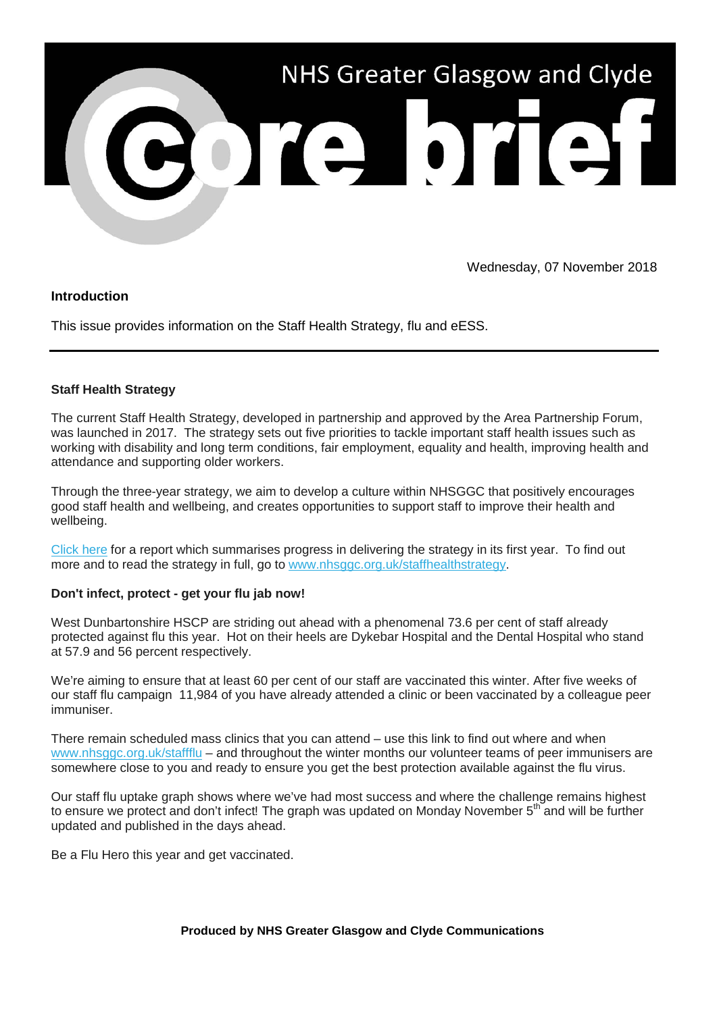

Wednesday, 07 November 2018

## **Introduction**

This issue provides information on the Staff Health Strategy, flu and eESS.

#### **Staff Health Strategy**

The current Staff Health Strategy, developed in partnership and approved by the Area Partnership Forum, was launched in 2017. The strategy sets out five priorities to tackle important staff health issues such as working with disability and long term conditions, fair employment, equality and health, improving health and attendance and supporting older workers.

Through the three-year strategy, we aim to develop a culture within NHSGGC that positively encourages good staff health and wellbeing, and creates opportunities to support staff to improve their health and wellbeing.

[Click here](https://nhsggc.us12.list-manage.com/track/click?u=0f385b5aea37eaf0213bd19fb&id=4c7bd3bd81&e=5af5e1832c) for a report which summarises progress in delivering the strategy in its first year. To find out more and to read the strategy in full, go to [www.nhsggc.org.uk/staffhealthstrategy.](https://nhsggc.us12.list-manage.com/track/click?u=0f385b5aea37eaf0213bd19fb&id=768e040158&e=5af5e1832c)

#### **Don't infect, protect - get your flu jab now!**

West Dunbartonshire HSCP are striding out ahead with a phenomenal 73.6 per cent of staff already protected against flu this year. Hot on their heels are Dykebar Hospital and the Dental Hospital who stand at 57.9 and 56 percent respectively.

We're aiming to ensure that at least 60 per cent of our staff are vaccinated this winter. After five weeks of our staff flu campaign 11,984 of you have already attended a clinic or been vaccinated by a colleague peer immuniser.

There remain scheduled mass clinics that you can attend – use this link to find out where and when [www.nhsggc.org.uk/staffflu](https://nhsggc.us12.list-manage.com/track/click?u=0f385b5aea37eaf0213bd19fb&id=d8c159cc4a&e=5af5e1832c) – and throughout the winter months our volunteer teams of peer immunisers are somewhere close to you and ready to ensure you get the best protection available against the flu virus.

Our staff flu uptake graph shows where we've had most success and where the challenge remains highest to ensure we protect and don't infect! The graph was updated on Monday November 5<sup>th</sup> and will be further updated and published in the days ahead.

Be a Flu Hero this year and get vaccinated.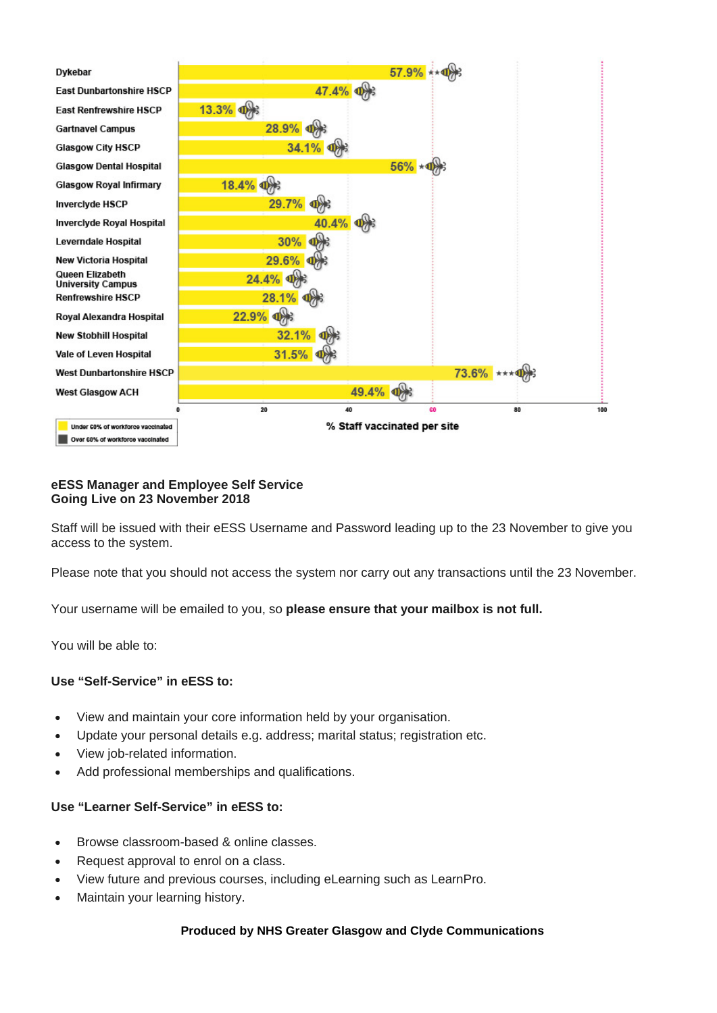

#### **eESS Manager and Employee Self Service Going Live on 23 November 2018**

Staff will be issued with their eESS Username and Password leading up to the 23 November to give you access to the system.

Please note that you should not access the system nor carry out any transactions until the 23 November.

Your username will be emailed to you, so **please ensure that your mailbox is not full.**

You will be able to:

#### **Use "Self-Service" in eESS to:**

- View and maintain your core information held by your organisation.
- Update your personal details e.g. address; marital status; registration etc.
- View job-related information.
- Add professional memberships and qualifications.

#### **Use "Learner Self-Service" in eESS to:**

- Browse classroom-based & online classes.
- Request approval to enrol on a class.
- View future and previous courses, including eLearning such as LearnPro.
- Maintain your learning history.

#### **Produced by NHS Greater Glasgow and Clyde Communications**